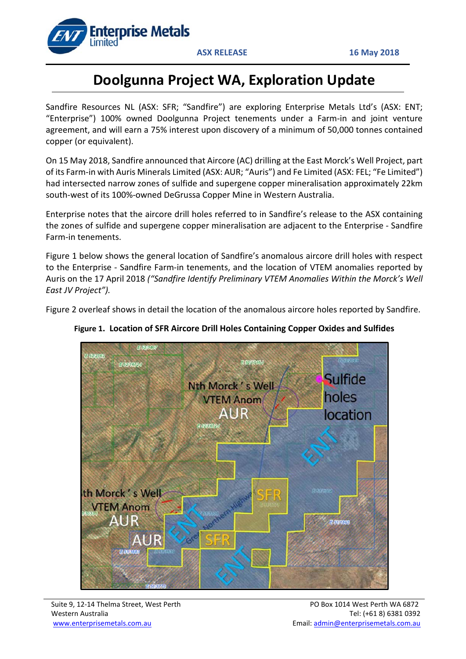

# **Doolgunna Project WA, Exploration Update**

Sandfire Resources NL (ASX: SFR; "Sandfire") are exploring Enterprise Metals Ltd's (ASX: ENT; "Enterprise") 100% owned Doolgunna Project tenements under a Farm-in and joint venture agreement, and will earn a 75% interest upon discovery of a minimum of 50,000 tonnes contained copper (or equivalent).

On 15 May 2018, Sandfire announced that Aircore (AC) drilling at the East Morck's Well Project, part of its Farm-in with Auris Minerals Limited (ASX: AUR; "Auris") and Fe Limited (ASX: FEL; "Fe Limited") had intersected narrow zones of sulfide and supergene copper mineralisation approximately 22km south-west of its 100%-owned DeGrussa Copper Mine in Western Australia.

Enterprise notes that the aircore drill holes referred to in Sandfire's release to the ASX containing the zones of sulfide and supergene copper mineralisation are adjacent to the Enterprise - Sandfire Farm-in tenements.

Figure 1 below shows the general location of Sandfire's anomalous aircore drill holes with respect to the Enterprise - Sandfire Farm-in tenements, and the location of VTEM anomalies reported by Auris on the 17 April 2018 *("Sandfire Identify Preliminary VTEM Anomalies Within the Morck's Well East JV Project").* 

Figure 2 overleaf shows in detail the location of the anomalous aircore holes reported by Sandfire.



## **Figure 1. Location of SFR Aircore Drill Holes Containing Copper Oxides and Sulfides**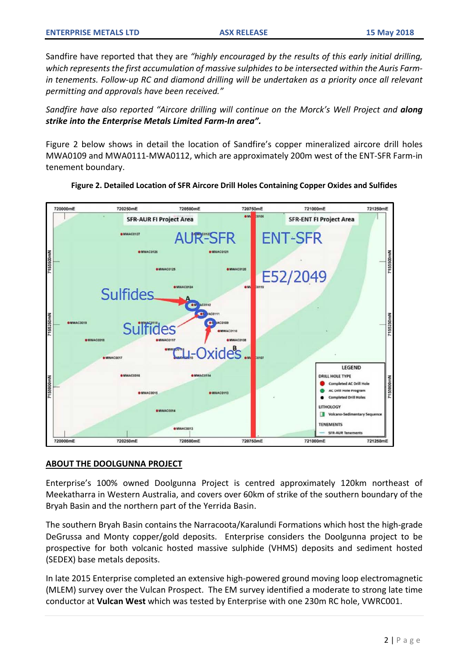Sandfire have reported that they are *"highly encouraged by the results of this early initial drilling, which represents the first accumulation of massive sulphides to be intersected within the Auris Farm*in tenements. Follow-up RC and diamond drilling will be undertaken as a priority once all relevant *permitting and approvals have been received."*

*Sandfire have also reported "Aircore drilling will continue on the Morck's Well Project and along strike into the Enterprise Metals Limited Farm-In area".* 

Figure 2 below shows in detail the location of Sandfire's copper mineralized aircore drill holes MWA0109 and MWA0111-MWA0112, which are approximately 200m west of the ENT-SFR Farm-in tenement boundary.



### **Figure 2. Detailed Location of SFR Aircore Drill Holes Containing Copper Oxides and Sulfides**

### **ABOUT THE DOOLGUNNA PROJECT**

Enterprise's 100% owned Doolgunna Project is centred approximately 120km northeast of Meekatharra in Western Australia, and covers over 60km of strike of the southern boundary of the Bryah Basin and the northern part of the Yerrida Basin.

The southern Bryah Basin contains the Narracoota/Karalundi Formations which host the high-grade DeGrussa and Monty copper/gold deposits. Enterprise considers the Doolgunna project to be prospective for both volcanic hosted massive sulphide (VHMS) deposits and sediment hosted (SEDEX) base metals deposits.

In late 2015 Enterprise completed an extensive high-powered ground moving loop electromagnetic (MLEM) survey over the Vulcan Prospect. The EM survey identified a moderate to strong late time conductor at **Vulcan West** which was tested by Enterprise with one 230m RC hole, VWRC001.